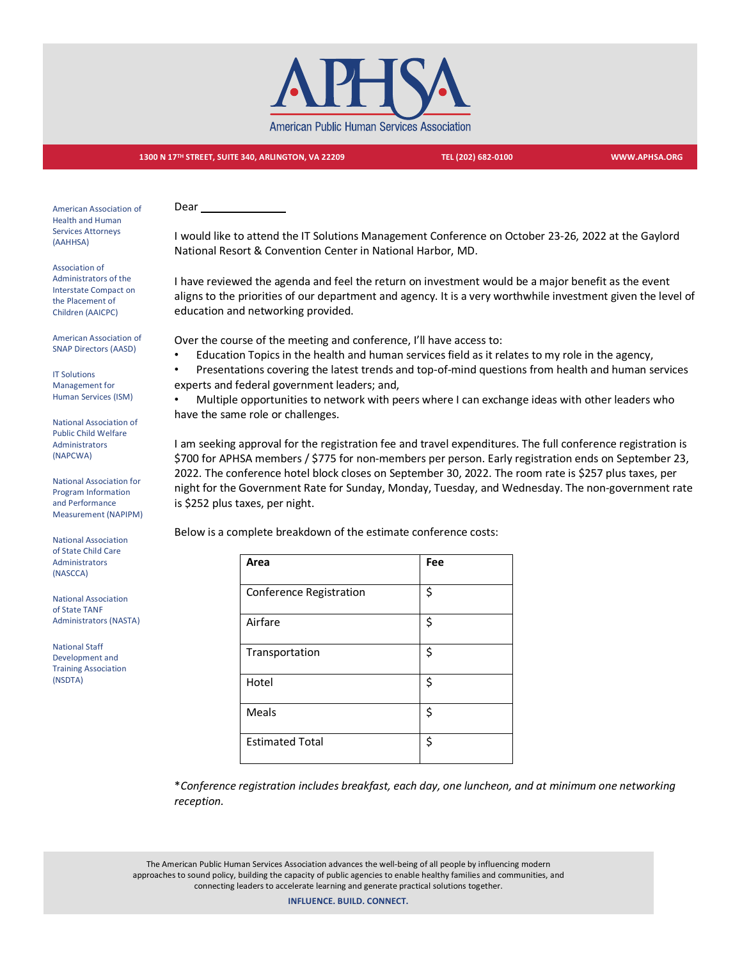

## **1300 N 17TH STREET, SUITE 340, ARLINGTON, VA 22209 TEL (202) 682-0100 WWW.APHSA.ORG**

American Association of Health and Human Services Attorneys (AAHHSA)

Association of Administrators of the Interstate Compact on the Placement of Children (AAICPC)

American Association of SNAP Directors (AASD)

IT Solutions Management for Human Services (ISM)

National Association of Public Child Welfare Administrators (NAPCWA)

National Association for Program Information and Performance Measurement (NAPIPM)

National Association of State Child Care Administrators (NASCCA)

National Association of State TANF Administrators (NASTA)

National Staff Development and Training Association (NSDTA)

Dear

I would like to attend the IT Solutions Management Conference on October 23-26, 2022 at the Gaylord National Resort & Convention Center in National Harbor, MD.

I have reviewed the agenda and feel the return on investment would be a major benefit as the event aligns to the priorities of our department and agency. It is a very worthwhile investment given the level of education and networking provided.

Over the course of the meeting and conference, I'll have access to:

• Education Topics in the health and human services field as it relates to my role in the agency,

• Presentations covering the latest trends and top-of-mind questions from health and human services experts and federal government leaders; and,

• Multiple opportunities to network with peers where I can exchange ideas with other leaders who have the same role or challenges.

I am seeking approval for the registration fee and travel expenditures. The full conference registration is \$700 for APHSA members / \$775 for non-members per person. Early registration ends on September 23, 2022. The conference hotel block closes on September 30, 2022. The room rate is \$257 plus taxes, per night for the Government Rate for Sunday, Monday, Tuesday, and Wednesday. The non-government rate is \$252 plus taxes, per night.

Below is a complete breakdown of the estimate conference costs:

| Area                           | Fee |
|--------------------------------|-----|
| <b>Conference Registration</b> | \$  |
| Airfare                        | \$  |
| Transportation                 | \$  |
| Hotel                          | \$  |
| <b>Meals</b>                   | \$  |
| <b>Estimated Total</b>         | \$  |

\**Conference registration includes breakfast, each day, one luncheon, and at minimum one networking reception.* 

The American Public Human Services Association advances the well-being of all people by influencing modern approaches to sound policy, building the capacity of public agencies to enable healthy families and communities, and connecting leaders to accelerate learning and generate practical solutions together.